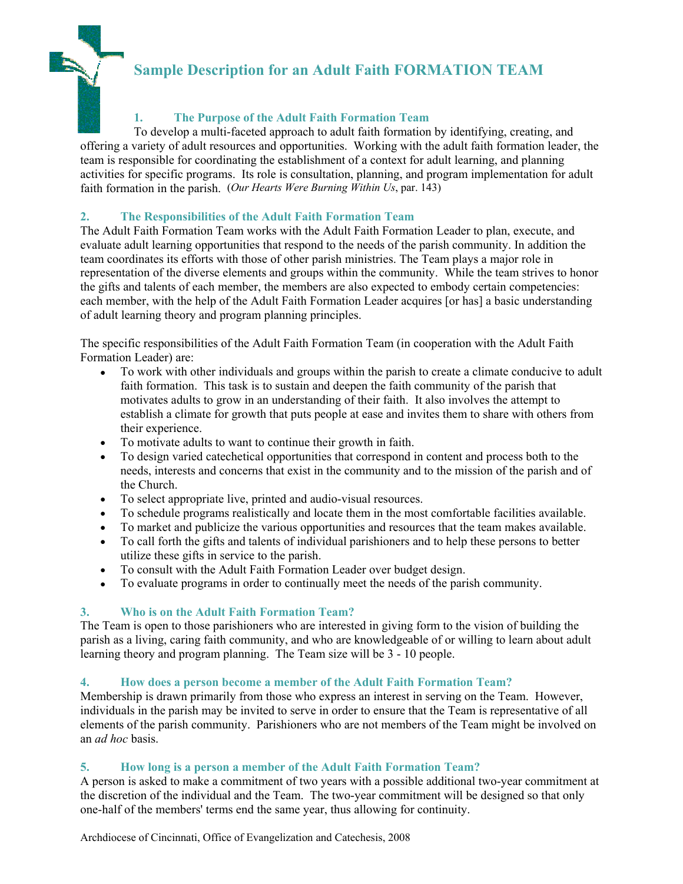# **Sample Description for an Adult Faith FORMATION TEAM**



## **1. The Purpose of the Adult Faith Formation Team**

To develop a multi-faceted approach to adult faith formation by identifying, creating, and offering a variety of adult resources and opportunities. Working with the adult faith formation leader, the team is responsible for coordinating the establishment of a context for adult learning, and planning activities for specific programs. Its role is consultation, planning, and program implementation for adult faith formation in the parish. (*Our Hearts Were Burning Within Us*, par. 143)

## **2. The Responsibilities of the Adult Faith Formation Team**

The Adult Faith Formation Team works with the Adult Faith Formation Leader to plan, execute, and evaluate adult learning opportunities that respond to the needs of the parish community. In addition the team coordinates its efforts with those of other parish ministries. The Team plays a major role in representation of the diverse elements and groups within the community. While the team strives to honor the gifts and talents of each member, the members are also expected to embody certain competencies: each member, with the help of the Adult Faith Formation Leader acquires [or has] a basic understanding of adult learning theory and program planning principles.

The specific responsibilities of the Adult Faith Formation Team (in cooperation with the Adult Faith Formation Leader) are:

- To work with other individuals and groups within the parish to create a climate conducive to adult faith formation. This task is to sustain and deepen the faith community of the parish that motivates adults to grow in an understanding of their faith. It also involves the attempt to establish a climate for growth that puts people at ease and invites them to share with others from their experience.
- To motivate adults to want to continue their growth in faith.
- To design varied catechetical opportunities that correspond in content and process both to the needs, interests and concerns that exist in the community and to the mission of the parish and of the Church.
- To select appropriate live, printed and audio-visual resources.
- To schedule programs realistically and locate them in the most comfortable facilities available.
- To market and publicize the various opportunities and resources that the team makes available.
- To call forth the gifts and talents of individual parishioners and to help these persons to better utilize these gifts in service to the parish.
- To consult with the Adult Faith Formation Leader over budget design.
- To evaluate programs in order to continually meet the needs of the parish community.

#### **3. Who is on the Adult Faith Formation Team?**

The Team is open to those parishioners who are interested in giving form to the vision of building the parish as a living, caring faith community, and who are knowledgeable of or willing to learn about adult learning theory and program planning. The Team size will be 3 - 10 people.

#### **4. How does a person become a member of the Adult Faith Formation Team?**

Membership is drawn primarily from those who express an interest in serving on the Team. However, individuals in the parish may be invited to serve in order to ensure that the Team is representative of all elements of the parish community. Parishioners who are not members of the Team might be involved on an *ad hoc* basis.

### **5. How long is a person a member of the Adult Faith Formation Team?**

A person is asked to make a commitment of two years with a possible additional two-year commitment at the discretion of the individual and the Team. The two-year commitment will be designed so that only one-half of the members' terms end the same year, thus allowing for continuity.